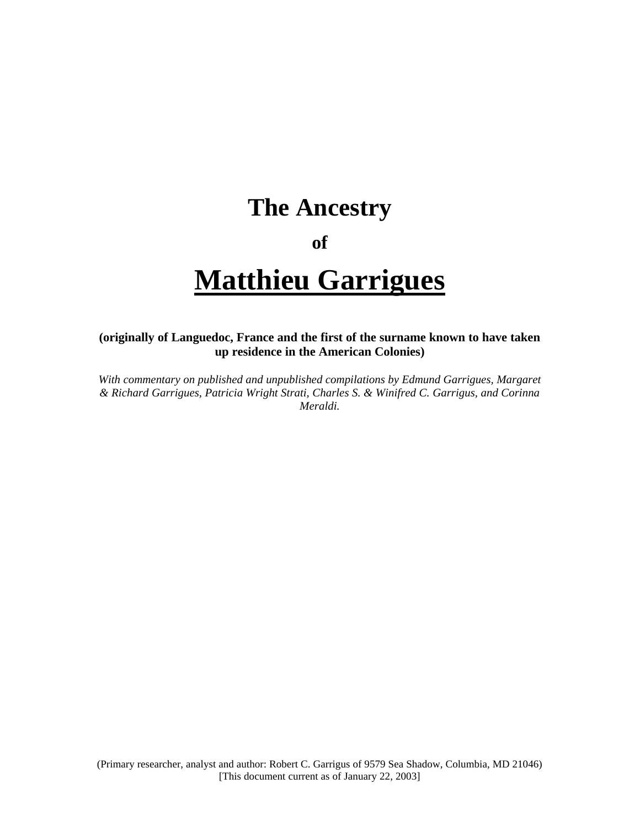## **The Ancestry**

## **of**

# **Matthieu Garrigues**

## **(originally of Languedoc, France and the first of the surname known to have taken up residence in the American Colonies)**

*With commentary on published and unpublished compilations by Edmund Garrigues, Margaret & Richard Garrigues, Patricia Wright Strati, Charles S. & Winifred C. Garrigus, and Corinna Meraldi.*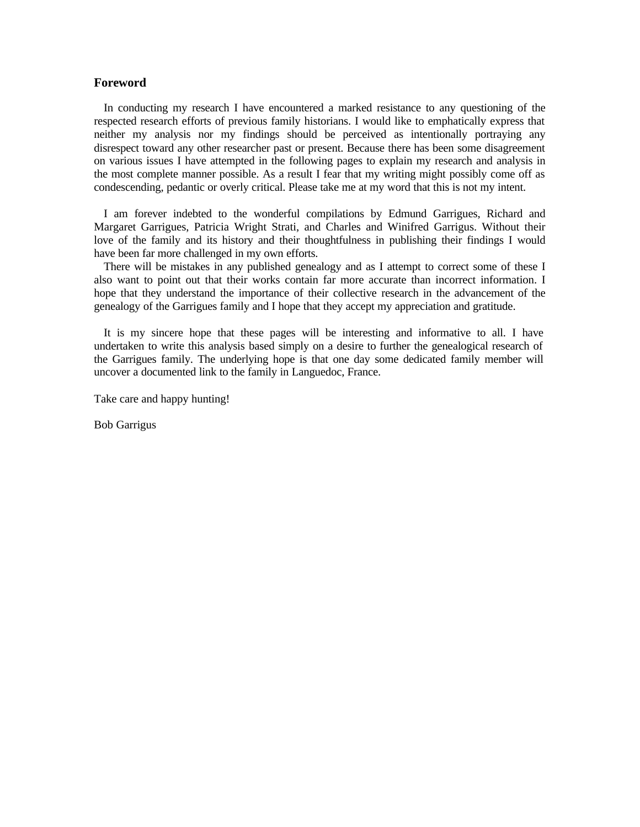#### **Foreword**

In conducting my research I have encountered a marked resistance to any questioning of the respected research efforts of previous family historians. I would like to emphatically express that neither my analysis nor my findings should be perceived as intentionally portraying any disrespect toward any other researcher past or present. Because there has been some disagreement on various issues I have attempted in the following pages to explain my research and analysis in the most complete manner possible. As a result I fear that my writing might possibly come off as condescending, pedantic or overly critical. Please take me at my word that this is not my intent.

I am forever indebted to the wonderful compilations by Edmund Garrigues, Richard and Margaret Garrigues, Patricia Wright Strati, and Charles and Winifred Garrigus. Without their love of the family and its history and their thoughtfulness in publishing their findings I would have been far more challenged in my own efforts.

There will be mistakes in any published genealogy and as I attempt to correct some of these I also want to point out that their works contain far more accurate than incorrect information. I hope that they understand the importance of their collective research in the advancement of the genealogy of the Garrigues family and I hope that they accept my appreciation and gratitude.

It is my sincere hope that these pages will be interesting and informative to all. I have undertaken to write this analysis based simply on a desire to further the genealogical research of the Garrigues family. The underlying hope is that one day some dedicated family member will uncover a documented link to the family in Languedoc, France.

Take care and happy hunting!

Bob Garrigus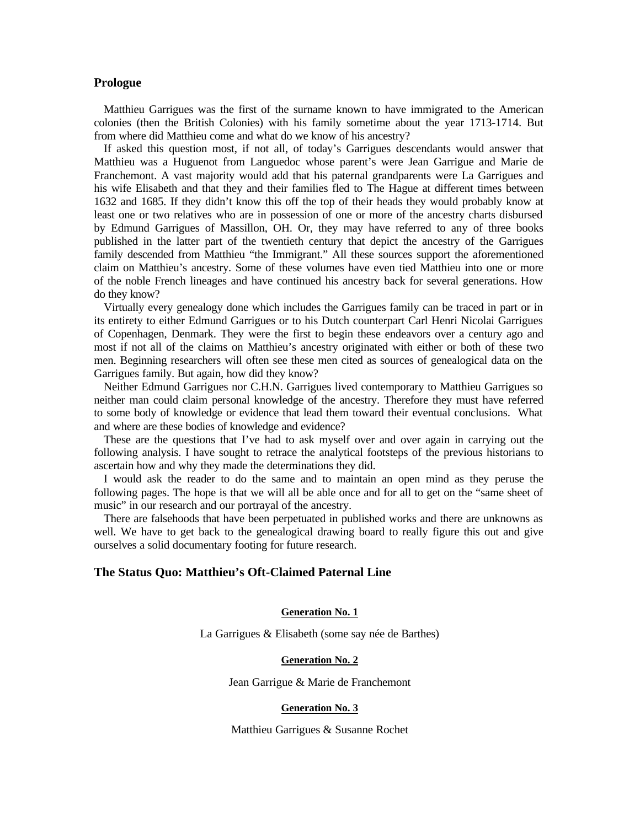#### **Prologue**

Matthieu Garrigues was the first of the surname known to have immigrated to the American colonies (then the British Colonies) with his family sometime about the year 1713-1714. But from where did Matthieu come and what do we know of his ancestry?

If asked this question most, if not all, of today's Garrigues descendants would answer that Matthieu was a Huguenot from Languedoc whose parent's were Jean Garrigue and Marie de Franchemont. A vast majority would add that his paternal grandparents were La Garrigues and his wife Elisabeth and that they and their families fled to The Hague at different times between 1632 and 1685. If they didn't know this off the top of their heads they would probably know at least one or two relatives who are in possession of one or more of the ancestry charts disbursed by Edmund Garrigues of Massillon, OH. Or, they may have referred to any of three books published in the latter part of the twentieth century that depict the ancestry of the Garrigues family descended from Matthieu "the Immigrant." All these sources support the aforementioned claim on Matthieu's ancestry. Some of these volumes have even tied Matthieu into one or more of the noble French lineages and have continued his ancestry back for several generations. How do they know?

Virtually every genealogy done which includes the Garrigues family can be traced in part or in its entirety to either Edmund Garrigues or to his Dutch counterpart Carl Henri Nicolai Garrigues of Copenhagen, Denmark. They were the first to begin these endeavors over a century ago and most if not all of the claims on Matthieu's ancestry originated with either or both of these two men. Beginning researchers will often see these men cited as sources of genealogical data on the Garrigues family. But again, how did they know?

Neither Edmund Garrigues nor C.H.N. Garrigues lived contemporary to Matthieu Garrigues so neither man could claim personal knowledge of the ancestry. Therefore they must have referred to some body of knowledge or evidence that lead them toward their eventual conclusions. What and where are these bodies of knowledge and evidence?

These are the questions that I've had to ask myself over and over again in carrying out the following analysis. I have sought to retrace the analytical footsteps of the previous historians to ascertain how and why they made the determinations they did.

I would ask the reader to do the same and to maintain an open mind as they peruse the following pages. The hope is that we will all be able once and for all to get on the "same sheet of music" in our research and our portrayal of the ancestry.

There are falsehoods that have been perpetuated in published works and there are unknowns as well. We have to get back to the genealogical drawing board to really figure this out and give ourselves a solid documentary footing for future research.

#### **The Status Quo: Matthieu's Oft-Claimed Paternal Line**

#### **Generation No. 1**

La Garrigues & Elisabeth (some say née de Barthes)

#### **Generation No. 2**

Jean Garrigue & Marie de Franchemont

#### **Generation No. 3**

Matthieu Garrigues & Susanne Rochet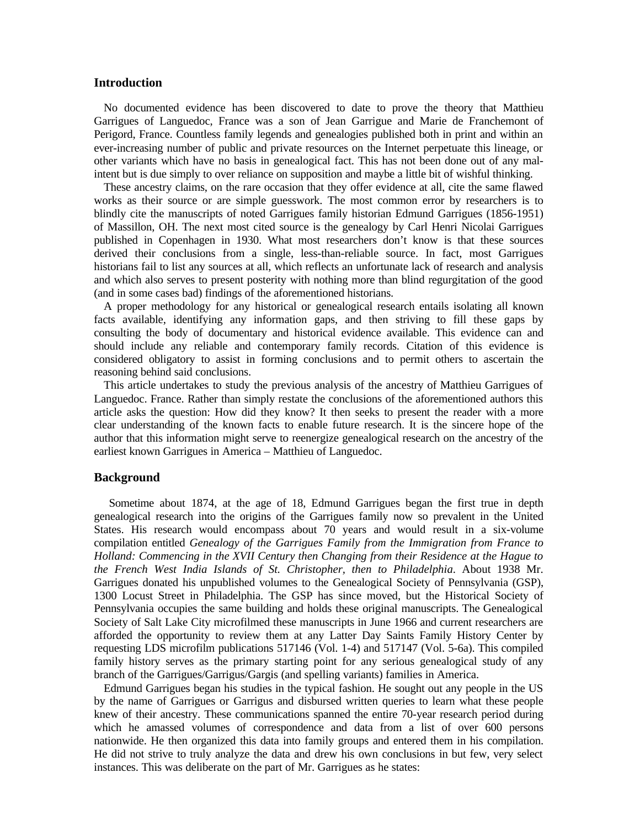#### **Introduction**

No documented evidence has been discovered to date to prove the theory that Matthieu Garrigues of Languedoc, France was a son of Jean Garrigue and Marie de Franchemont of Perigord, France. Countless family legends and genealogies published both in print and within an ever-increasing number of public and private resources on the Internet perpetuate this lineage, or other variants which have no basis in genealogical fact. This has not been done out of any malintent but is due simply to over reliance on supposition and maybe a little bit of wishful thinking.

These ancestry claims, on the rare occasion that they offer evidence at all, cite the same flawed works as their source or are simple guesswork. The most common error by researchers is to blindly cite the manuscripts of noted Garrigues family historian Edmund Garrigues (1856-1951) of Massillon, OH. The next most cited source is the genealogy by Carl Henri Nicolai Garrigues published in Copenhagen in 1930. What most researchers don't know is that these sources derived their conclusions from a single, less-than-reliable source. In fact, most Garrigues historians fail to list any sources at all, which reflects an unfortunate lack of research and analysis and which also serves to present posterity with nothing more than blind regurgitation of the good (and in some cases bad) findings of the aforementioned historians.

A proper methodology for any historical or genealogical research entails isolating all known facts available, identifying any information gaps, and then striving to fill these gaps by consulting the body of documentary and historical evidence available. This evidence can and should include any reliable and contemporary family records. Citation of this evidence is considered obligatory to assist in forming conclusions and to permit others to ascertain the reasoning behind said conclusions.

This article undertakes to study the previous analysis of the ancestry of Matthieu Garrigues of Languedoc. France. Rather than simply restate the conclusions of the aforementioned authors this article asks the question: How did they know? It then seeks to present the reader with a more clear understanding of the known facts to enable future research. It is the sincere hope of the author that this information might serve to reenergize genealogical research on the ancestry of the earliest known Garrigues in America – Matthieu of Languedoc.

#### **Background**

 Sometime about 1874, at the age of 18, Edmund Garrigues began the first true in depth genealogical research into the origins of the Garrigues family now so prevalent in the United States. His research would encompass about 70 years and would result in a six-volume compilation entitled *Genealogy of the Garrigues Family from the Immigration from France to Holland: Commencing in the XVII Century then Changing from their Residence at the Hague to the French West India Islands of St. Christopher, then to Philadelphia*. About 1938 Mr. Garrigues donated his unpublished volumes to the Genealogical Society of Pennsylvania (GSP), 1300 Locust Street in Philadelphia. The GSP has since moved, but the Historical Society of Pennsylvania occupies the same building and holds these original manuscripts. The Genealogical Society of Salt Lake City microfilmed these manuscripts in June 1966 and current researchers are afforded the opportunity to review them at any Latter Day Saints Family History Center by requesting LDS microfilm publications 517146 (Vol. 1-4) and 517147 (Vol. 5-6a). This compiled family history serves as the primary starting point for any serious genealogical study of any branch of the Garrigues/Garrigus/Gargis (and spelling variants) families in America.

Edmund Garrigues began his studies in the typical fashion. He sought out any people in the US by the name of Garrigues or Garrigus and disbursed written queries to learn what these people knew of their ancestry. These communications spanned the entire 70-year research period during which he amassed volumes of correspondence and data from a list of over 600 persons nationwide. He then organized this data into family groups and entered them in his compilation. He did not strive to truly analyze the data and drew his own conclusions in but few, very select instances. This was deliberate on the part of Mr. Garrigues as he states: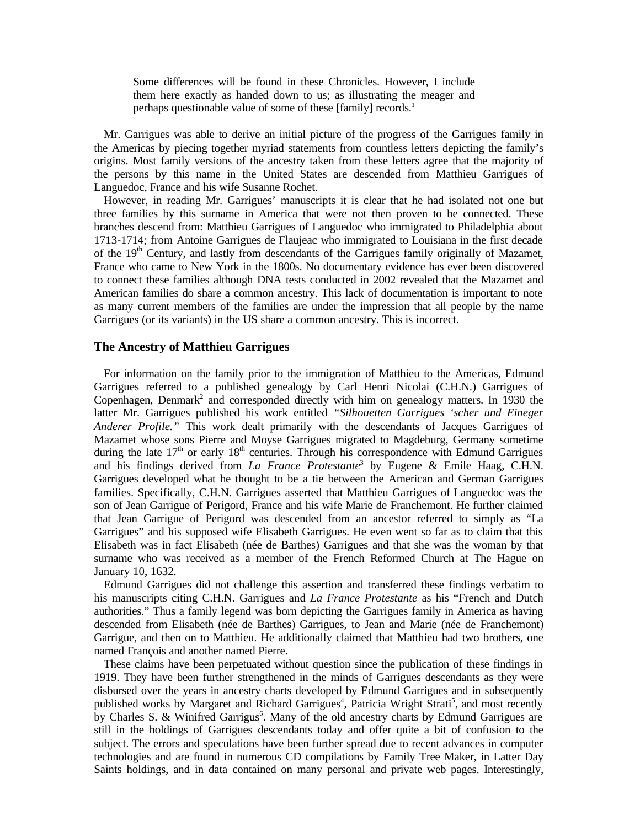Some differences will be found in these Chronicles. However, I include them here exactly as handed down to us; as illustrating the meager and perhaps questionable value of some of these [family] records.<sup>1</sup>

Mr. Garrigues was able to derive an initial picture of the progress of the Garrigues family in the Americas by piecing together myriad statements from countless letters depicting the family's origins. Most family versions of the ancestry taken from these letters agree that the majority of the persons by this name in the United States are descended from Matthieu Garrigues of Languedoc, France and his wife Susanne Rochet.

However, in reading Mr. Garrigues' manuscripts it is clear that he had isolated not one but three families by this surname in America that were not then proven to be connected. These branches descend from: Matthieu Garrigues of Languedoc who immigrated to Philadelphia about 1713-1714; from Antoine Garrigues de Flaujeac who immigrated to Louisiana in the first decade of the  $19<sup>th</sup>$  Century, and lastly from descendants of the Garrigues family originally of Mazamet, France who came to New York in the 1800s. No documentary evidence has ever been discovered to connect these families although DNA tests conducted in 2002 revealed that the Mazamet and American families do share a common ancestry. This lack of documentation is important to note as many current members of the families are under the impression that all people by the name Garrigues (or its variants) in the US share a common ancestry. This is incorrect.

#### **The Ancestry of Matthieu Garrigues**

For information on the family prior to the immigration of Matthieu to the Americas, Edmund Garrigues referred to a published genealogy by Carl Henri Nicolai (C.H.N.) Garrigues of Copenhagen, Denmark<sup>2</sup> and corresponded directly with him on genealogy matters. In 1930 the latter Mr. Garrigues published his work entitled *"Silhouetten Garrigues 'scher und Eineger Anderer Profile."* This work dealt primarily with the descendants of Jacques Garrigues of Mazamet whose sons Pierre and Moyse Garrigues migrated to Magdeburg, Germany sometime during the late  $17<sup>th</sup>$  or early  $18<sup>th</sup>$  centuries. Through his correspondence with Edmund Garrigues and his findings derived from *La France Protestante*<sup>3</sup> by Eugene & Emile Haag, C.H.N. Garrigues developed what he thought to be a tie between the American and German Garrigues families. Specifically, C.H.N. Garrigues asserted that Matthieu Garrigues of Languedoc was the son of Jean Garrigue of Perigord, France and his wife Marie de Franchemont. He further claimed that Jean Garrigue of Perigord was descended from an ancestor referred to simply as "La Garrigues" and his supposed wife Elisabeth Garrigues. He even went so far as to claim that this Elisabeth was in fact Elisabeth (née de Barthes) Garrigues and that she was the woman by that surname who was received as a member of the French Reformed Church at The Hague on January 10, 1632.

Edmund Garrigues did not challenge this assertion and transferred these findings verbatim to his manuscripts citing C.H.N. Garrigues and *La France Protestante* as his "French and Dutch authorities." Thus a family legend was born depicting the Garrigues family in America as having descended from Elisabeth (née de Barthes) Garrigues, to Jean and Marie (née de Franchemont) Garrigue, and then on to Matthieu. He additionally claimed that Matthieu had two brothers, one named François and another named Pierre.

These claims have been perpetuated without question since the publication of these findings in 1919. They have been further strengthened in the minds of Garrigues descendants as they were disbursed over the years in ancestry charts developed by Edmund Garrigues and in subsequently published works by Margaret and Richard Garrigues<sup>4</sup>, Patricia Wright Strati<sup>5</sup>, and most recently by Charles S. & Winifred Garrigus<sup>6</sup>. Many of the old ancestry charts by Edmund Garrigues are still in the holdings of Garrigues descendants today and offer quite a bit of confusion to the subject. The errors and speculations have been further spread due to recent advances in computer technologies and are found in numerous CD compilations by Family Tree Maker, in Latter Day Saints holdings, and in data contained on many personal and private web pages. Interestingly,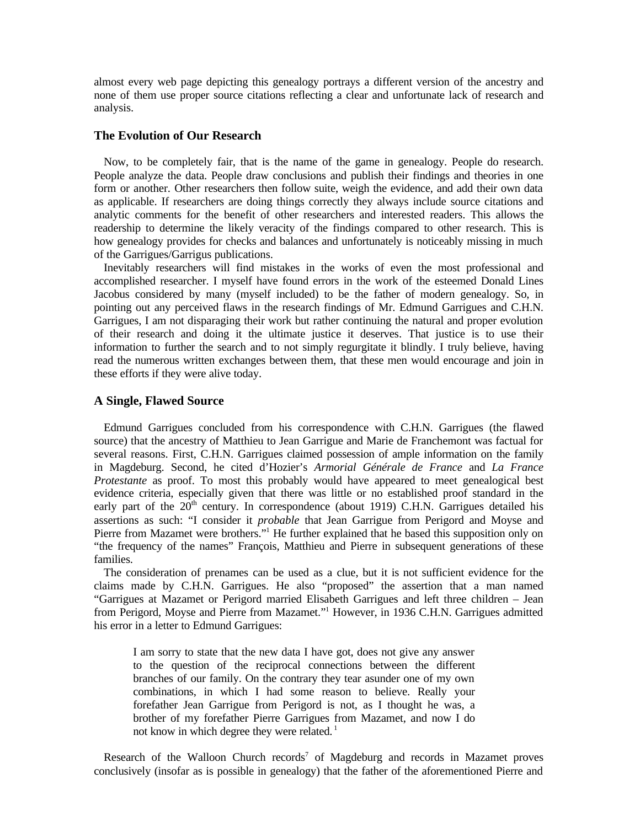almost every web page depicting this genealogy portrays a different version of the ancestry and none of them use proper source citations reflecting a clear and unfortunate lack of research and analysis.

#### **The Evolution of Our Research**

Now, to be completely fair, that is the name of the game in genealogy. People do research. People analyze the data. People draw conclusions and publish their findings and theories in one form or another. Other researchers then follow suite, weigh the evidence, and add their own data as applicable. If researchers are doing things correctly they always include source citations and analytic comments for the benefit of other researchers and interested readers. This allows the readership to determine the likely veracity of the findings compared to other research. This is how genealogy provides for checks and balances and unfortunately is noticeably missing in much of the Garrigues/Garrigus publications.

Inevitably researchers will find mistakes in the works of even the most professional and accomplished researcher. I myself have found errors in the work of the esteemed Donald Lines Jacobus considered by many (myself included) to be the father of modern genealogy. So, in pointing out any perceived flaws in the research findings of Mr. Edmund Garrigues and C.H.N. Garrigues, I am not disparaging their work but rather continuing the natural and proper evolution of their research and doing it the ultimate justice it deserves. That justice is to use their information to further the search and to not simply regurgitate it blindly. I truly believe, having read the numerous written exchanges between them, that these men would encourage and join in these efforts if they were alive today.

#### **A Single, Flawed Source**

Edmund Garrigues concluded from his correspondence with C.H.N. Garrigues (the flawed source) that the ancestry of Matthieu to Jean Garrigue and Marie de Franchemont was factual for several reasons. First, C.H.N. Garrigues claimed possession of ample information on the family in Magdeburg. Second, he cited d'Hozier's *Armorial Générale de France* and *La France Protestante* as proof. To most this probably would have appeared to meet genealogical best evidence criteria, especially given that there was little or no established proof standard in the early part of the  $20^{th}$  century. In correspondence (about 1919) C.H.N. Garrigues detailed his assertions as such: "I consider it *probable* that Jean Garrigue from Perigord and Moyse and Pierre from Mazamet were brothers."<sup>1</sup> He further explained that he based this supposition only on "the frequency of the names" François, Matthieu and Pierre in subsequent generations of these families.

The consideration of prenames can be used as a clue, but it is not sufficient evidence for the claims made by C.H.N. Garrigues. He also "proposed" the assertion that a man named "Garrigues at Mazamet or Perigord married Elisabeth Garrigues and left three children – Jean from Perigord, Moyse and Pierre from Mazamet."<sup>1</sup> However, in 1936 C.H.N. Garrigues admitted his error in a letter to Edmund Garrigues:

I am sorry to state that the new data I have got, does not give any answer to the question of the reciprocal connections between the different branches of our family. On the contrary they tear asunder one of my own combinations, in which I had some reason to believe. Really your forefather Jean Garrigue from Perigord is not, as I thought he was, a brother of my forefather Pierre Garrigues from Mazamet, and now I do not know in which degree they were related.<sup>1</sup>

Research of the Walloon Church records<sup>7</sup> of Magdeburg and records in Mazamet proves conclusively (insofar as is possible in genealogy) that the father of the aforementioned Pierre and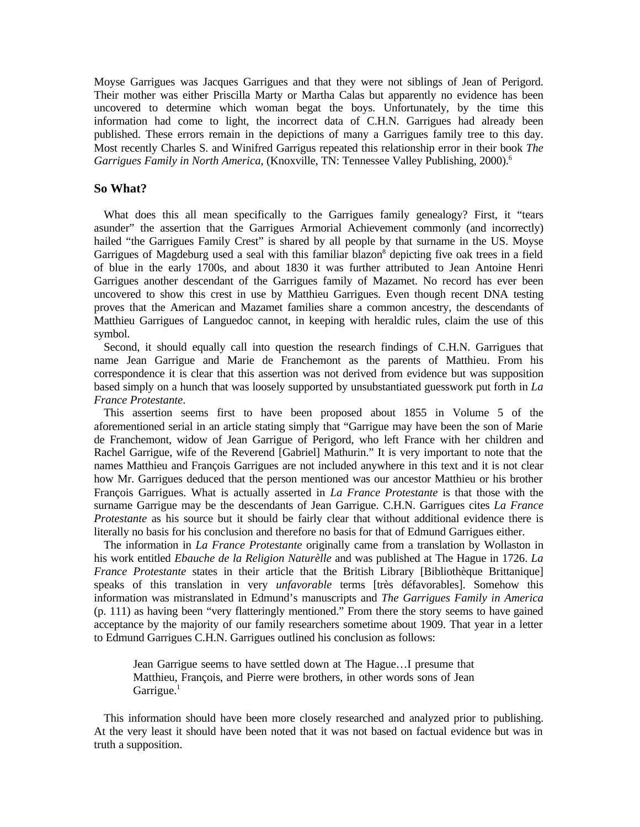Moyse Garrigues was Jacques Garrigues and that they were not siblings of Jean of Perigord. Their mother was either Priscilla Marty or Martha Calas but apparently no evidence has been uncovered to determine which woman begat the boys. Unfortunately, by the time this information had come to light, the incorrect data of C.H.N. Garrigues had already been published. These errors remain in the depictions of many a Garrigues family tree to this day. Most recently Charles S. and Winifred Garrigus repeated this relationship error in their book *The Garrigues Family in North America*, (Knoxville, TN: Tennessee Valley Publishing, 2000).<sup>6</sup>

#### **So What?**

What does this all mean specifically to the Garrigues family genealogy? First, it "tears" asunder" the assertion that the Garrigues Armorial Achievement commonly (and incorrectly) hailed "the Garrigues Family Crest" is shared by all people by that surname in the US. Moyse Garrigues of Magdeburg used a seal with this familiar blazon<sup>8</sup> depicting five oak trees in a field of blue in the early 1700s, and about 1830 it was further attributed to Jean Antoine Henri Garrigues another descendant of the Garrigues family of Mazamet. No record has ever been uncovered to show this crest in use by Matthieu Garrigues. Even though recent DNA testing proves that the American and Mazamet families share a common ancestry, the descendants of Matthieu Garrigues of Languedoc cannot, in keeping with heraldic rules, claim the use of this symbol.

Second, it should equally call into question the research findings of C.H.N. Garrigues that name Jean Garrigue and Marie de Franchemont as the parents of Matthieu. From his correspondence it is clear that this assertion was not derived from evidence but was supposition based simply on a hunch that was loosely supported by unsubstantiated guesswork put forth in *La France Protestante*.

This assertion seems first to have been proposed about 1855 in Volume 5 of the aforementioned serial in an article stating simply that "Garrigue may have been the son of Marie de Franchemont, widow of Jean Garrigue of Perigord, who left France with her children and Rachel Garrigue, wife of the Reverend [Gabriel] Mathurin." It is very important to note that the names Matthieu and François Garrigues are not included anywhere in this text and it is not clear how Mr. Garrigues deduced that the person mentioned was our ancestor Matthieu or his brother François Garrigues. What is actually asserted in *La France Protestante* is that those with the surname Garrigue may be the descendants of Jean Garrigue. C.H.N. Garrigues cites *La France Protestante* as his source but it should be fairly clear that without additional evidence there is literally no basis for his conclusion and therefore no basis for that of Edmund Garrigues either.

The information in *La France Protestante* originally came from a translation by Wollaston in his work entitled *Ebauche de la Religion Naturèlle* and was published at The Hague in 1726. *La France Protestante* states in their article that the British Library [Bibliothèque Brittanique] speaks of this translation in very *unfavorable* terms [très défavorables]. Somehow this information was mistranslated in Edmund's manuscripts and *The Garrigues Family in America* (p. 111) as having been "very flatteringly mentioned." From there the story seems to have gained acceptance by the majority of our family researchers sometime about 1909. That year in a letter to Edmund Garrigues C.H.N. Garrigues outlined his conclusion as follows:

Jean Garrigue seems to have settled down at The Hague…I presume that Matthieu, François, and Pierre were brothers, in other words sons of Jean  $Garrique.<sup>1</sup>$ 

This information should have been more closely researched and analyzed prior to publishing. At the very least it should have been noted that it was not based on factual evidence but was in truth a supposition.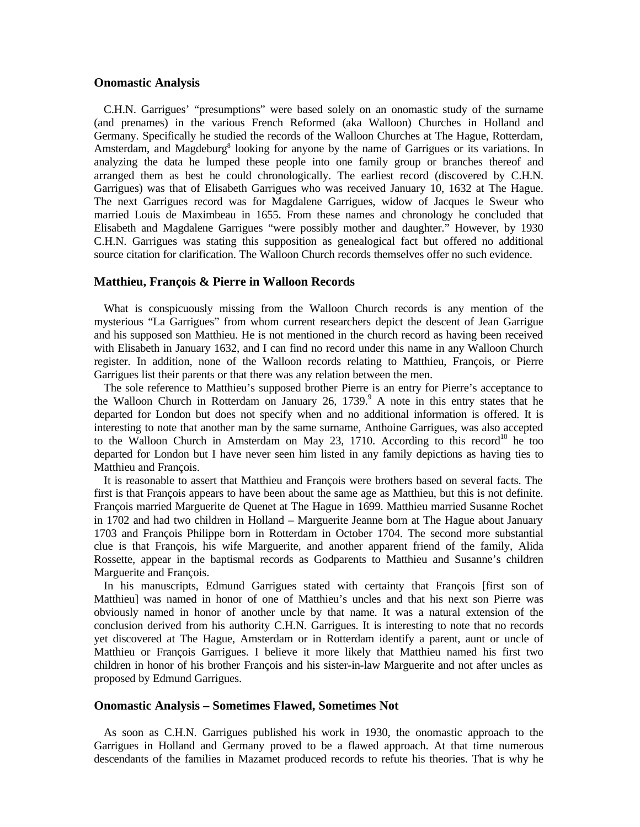#### **Onomastic Analysis**

C.H.N. Garrigues' "presumptions" were based solely on an onomastic study of the surname (and prenames) in the various French Reformed (aka Walloon) Churches in Holland and Germany. Specifically he studied the records of the Walloon Churches at The Hague, Rotterdam, Amsterdam, and Magdeburg<sup>8</sup> looking for anyone by the name of Garrigues or its variations. In analyzing the data he lumped these people into one family group or branches thereof and arranged them as best he could chronologically. The earliest record (discovered by C.H.N. Garrigues) was that of Elisabeth Garrigues who was received January 10, 1632 at The Hague. The next Garrigues record was for Magdalene Garrigues, widow of Jacques le Sweur who married Louis de Maximbeau in 1655. From these names and chronology he concluded that Elisabeth and Magdalene Garrigues "were possibly mother and daughter." However, by 1930 C.H.N. Garrigues was stating this supposition as genealogical fact but offered no additional source citation for clarification. The Walloon Church records themselves offer no such evidence.

#### **Matthieu, François & Pierre in Walloon Records**

What is conspicuously missing from the Walloon Church records is any mention of the mysterious "La Garrigues" from whom current researchers depict the descent of Jean Garrigue and his supposed son Matthieu. He is not mentioned in the church record as having been received with Elisabeth in January 1632, and I can find no record under this name in any Walloon Church register. In addition, none of the Walloon records relating to Matthieu, François, or Pierre Garrigues list their parents or that there was any relation between the men.

The sole reference to Matthieu's supposed brother Pierre is an entry for Pierre's acceptance to the Walloon Church in Rotterdam on January 26, 1739.<sup>9</sup> A note in this entry states that he departed for London but does not specify when and no additional information is offered. It is interesting to note that another man by the same surname, Anthoine Garrigues, was also accepted to the Walloon Church in Amsterdam on May 23, 1710. According to this record<sup>10</sup> he too departed for London but I have never seen him listed in any family depictions as having ties to Matthieu and François.

It is reasonable to assert that Matthieu and François were brothers based on several facts. The first is that François appears to have been about the same age as Matthieu, but this is not definite. François married Marguerite de Quenet at The Hague in 1699. Matthieu married Susanne Rochet in 1702 and had two children in Holland – Marguerite Jeanne born at The Hague about January 1703 and François Philippe born in Rotterdam in October 1704. The second more substantial clue is that François, his wife Marguerite, and another apparent friend of the family, Alida Rossette, appear in the baptismal records as Godparents to Matthieu and Susanne's children Marguerite and François.

In his manuscripts, Edmund Garrigues stated with certainty that François [first son of Matthieu] was named in honor of one of Matthieu's uncles and that his next son Pierre was obviously named in honor of another uncle by that name. It was a natural extension of the conclusion derived from his authority C.H.N. Garrigues. It is interesting to note that no records yet discovered at The Hague, Amsterdam or in Rotterdam identify a parent, aunt or uncle of Matthieu or François Garrigues. I believe it more likely that Matthieu named his first two children in honor of his brother François and his sister-in-law Marguerite and not after uncles as proposed by Edmund Garrigues.

#### **Onomastic Analysis – Sometimes Flawed, Sometimes Not**

As soon as C.H.N. Garrigues published his work in 1930, the onomastic approach to the Garrigues in Holland and Germany proved to be a flawed approach. At that time numerous descendants of the families in Mazamet produced records to refute his theories. That is why he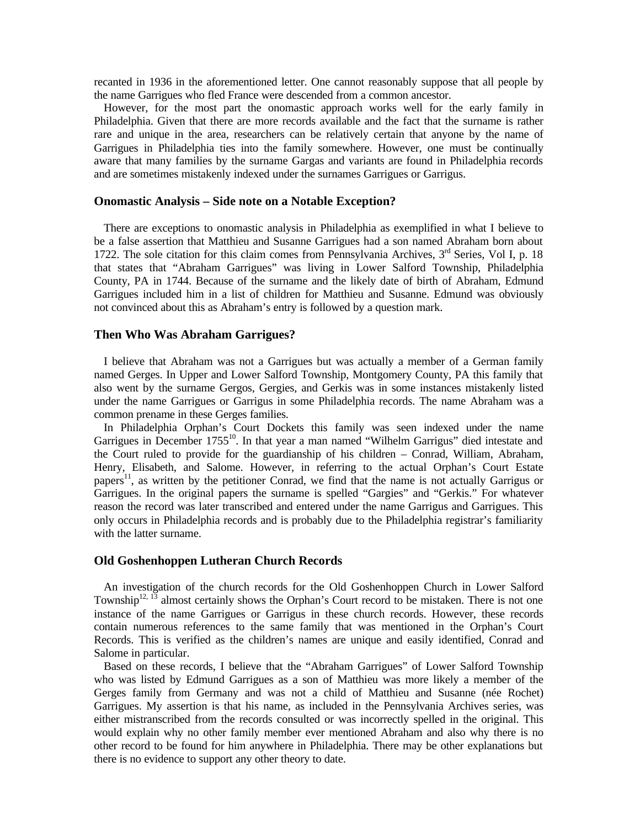recanted in 1936 in the aforementioned letter. One cannot reasonably suppose that all people by the name Garrigues who fled France were descended from a common ancestor.

However, for the most part the onomastic approach works well for the early family in Philadelphia. Given that there are more records available and the fact that the surname is rather rare and unique in the area, researchers can be relatively certain that anyone by the name of Garrigues in Philadelphia ties into the family somewhere. However, one must be continually aware that many families by the surname Gargas and variants are found in Philadelphia records and are sometimes mistakenly indexed under the surnames Garrigues or Garrigus.

#### **Onomastic Analysis – Side note on a Notable Exception?**

There are exceptions to onomastic analysis in Philadelphia as exemplified in what I believe to be a false assertion that Matthieu and Susanne Garrigues had a son named Abraham born about 1722. The sole citation for this claim comes from Pennsylvania Archives,  $3<sup>rd</sup>$  Series, Vol I, p. 18 that states that "Abraham Garrigues" was living in Lower Salford Township, Philadelphia County, PA in 1744. Because of the surname and the likely date of birth of Abraham, Edmund Garrigues included him in a list of children for Matthieu and Susanne. Edmund was obviously not convinced about this as Abraham's entry is followed by a question mark.

#### **Then Who Was Abraham Garrigues?**

I believe that Abraham was not a Garrigues but was actually a member of a German family named Gerges. In Upper and Lower Salford Township, Montgomery County, PA this family that also went by the surname Gergos, Gergies, and Gerkis was in some instances mistakenly listed under the name Garrigues or Garrigus in some Philadelphia records. The name Abraham was a common prename in these Gerges families.

In Philadelphia Orphan's Court Dockets this family was seen indexed under the name Garrigues in December 1755<sup>10</sup>. In that year a man named "Wilhelm Garrigus" died intestate and the Court ruled to provide for the guardianship of his children – Conrad, William, Abraham, Henry, Elisabeth, and Salome. However, in referring to the actual Orphan's Court Estate papers<sup>11</sup>, as written by the petitioner Conrad, we find that the name is not actually Garrigus or Garrigues. In the original papers the surname is spelled "Gargies" and "Gerkis." For whatever reason the record was later transcribed and entered under the name Garrigus and Garrigues. This only occurs in Philadelphia records and is probably due to the Philadelphia registrar's familiarity with the latter surname.

#### **Old Goshenhoppen Lutheran Church Records**

An investigation of the church records for the Old Goshenhoppen Church in Lower Salford Township<sup>12, 13</sup> almost certainly shows the Orphan's Court record to be mistaken. There is not one instance of the name Garrigues or Garrigus in these church records. However, these records contain numerous references to the same family that was mentioned in the Orphan's Court Records. This is verified as the children's names are unique and easily identified, Conrad and Salome in particular.

Based on these records, I believe that the "Abraham Garrigues" of Lower Salford Township who was listed by Edmund Garrigues as a son of Matthieu was more likely a member of the Gerges family from Germany and was not a child of Matthieu and Susanne (née Rochet) Garrigues. My assertion is that his name, as included in the Pennsylvania Archives series, was either mistranscribed from the records consulted or was incorrectly spelled in the original. This would explain why no other family member ever mentioned Abraham and also why there is no other record to be found for him anywhere in Philadelphia. There may be other explanations but there is no evidence to support any other theory to date.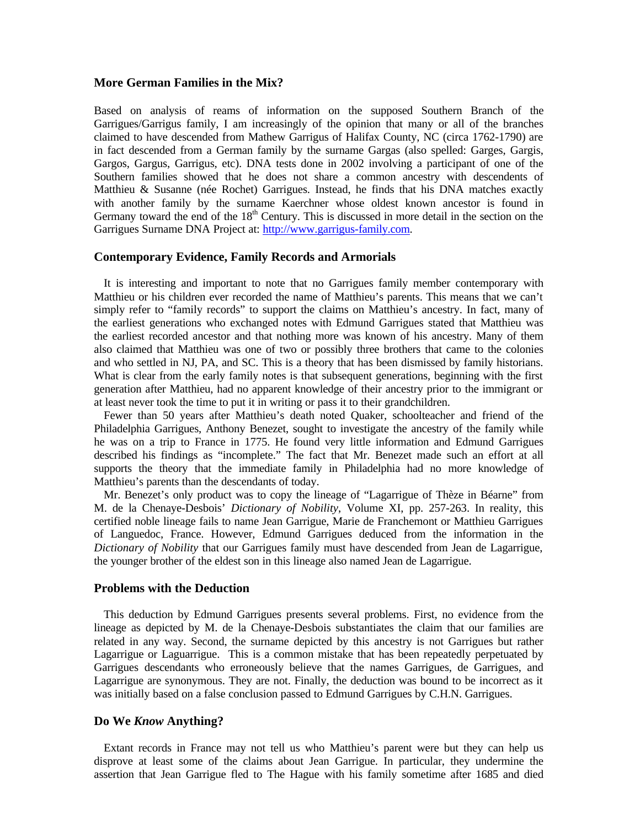## **More German Families in the Mix?**

Based on analysis of reams of information on the supposed Southern Branch of the Garrigues/Garrigus family, I am increasingly of the opinion that many or all of the branches claimed to have descended from Mathew Garrigus of Halifax County, NC (circa 1762-1790) are in fact descended from a German family by the surname Gargas (also spelled: Garges, Gargis, Gargos, Gargus, Garrigus, etc). DNA tests done in 2002 involving a participant of one of the Southern families showed that he does not share a common ancestry with descendents of Matthieu & Susanne (née Rochet) Garrigues. Instead, he finds that his DNA matches exactly with another family by the surname Kaerchner whose oldest known ancestor is found in Germany toward the end of the  $18<sup>th</sup>$  Century. This is discussed in more detail in the section on the Garrigues Surname DNA Project at: http://www.garrigus-family.com.

#### **Contemporary Evidence, Family Records and Armorials**

It is interesting and important to note that no Garrigues family member contemporary with Matthieu or his children ever recorded the name of Matthieu's parents. This means that we can't simply refer to "family records" to support the claims on Matthieu's ancestry. In fact, many of the earliest generations who exchanged notes with Edmund Garrigues stated that Matthieu was the earliest recorded ancestor and that nothing more was known of his ancestry. Many of them also claimed that Matthieu was one of two or possibly three brothers that came to the colonies and who settled in NJ, PA, and SC. This is a theory that has been dismissed by family historians. What is clear from the early family notes is that subsequent generations, beginning with the first generation after Matthieu, had no apparent knowledge of their ancestry prior to the immigrant or at least never took the time to put it in writing or pass it to their grandchildren.

Fewer than 50 years after Matthieu's death noted Quaker, schoolteacher and friend of the Philadelphia Garrigues, Anthony Benezet, sought to investigate the ancestry of the family while he was on a trip to France in 1775. He found very little information and Edmund Garrigues described his findings as "incomplete." The fact that Mr. Benezet made such an effort at all supports the theory that the immediate family in Philadelphia had no more knowledge of Matthieu's parents than the descendants of today.

Mr. Benezet's only product was to copy the lineage of "Lagarrigue of Thèze in Béarne" from M. de la Chenaye-Desbois' *Dictionary of Nobility*, Volume XI, pp. 257-263. In reality, this certified noble lineage fails to name Jean Garrigue, Marie de Franchemont or Matthieu Garrigues of Languedoc, France. However, Edmund Garrigues deduced from the information in the *Dictionary of Nobility* that our Garrigues family must have descended from Jean de Lagarrigue, the younger brother of the eldest son in this lineage also named Jean de Lagarrigue.

#### **Problems with the Deduction**

This deduction by Edmund Garrigues presents several problems. First, no evidence from the lineage as depicted by M. de la Chenaye-Desbois substantiates the claim that our families are related in any way. Second, the surname depicted by this ancestry is not Garrigues but rather Lagarrigue or Laguarrigue. This is a common mistake that has been repeatedly perpetuated by Garrigues descendants who erroneously believe that the names Garrigues, de Garrigues, and Lagarrigue are synonymous. They are not. Finally, the deduction was bound to be incorrect as it was initially based on a false conclusion passed to Edmund Garrigues by C.H.N. Garrigues.

## **Do We** *Know* **Anything?**

Extant records in France may not tell us who Matthieu's parent were but they can help us disprove at least some of the claims about Jean Garrigue. In particular, they undermine the assertion that Jean Garrigue fled to The Hague with his family sometime after 1685 and died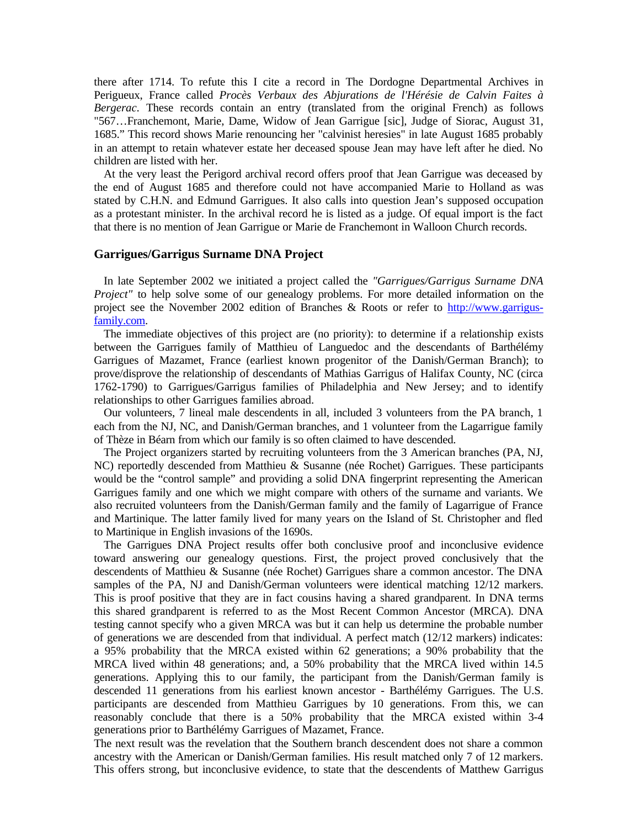there after 1714. To refute this I cite a record in The Dordogne Departmental Archives in Perigueux, France called *Procès Verbaux des Abjurations de l'Hérésie de Calvin Faites à Bergerac*. These records contain an entry (translated from the original French) as follows "567…Franchemont, Marie, Dame, Widow of Jean Garrigue [sic], Judge of Siorac, August 31, 1685." This record shows Marie renouncing her "calvinist heresies" in late August 1685 probably in an attempt to retain whatever estate her deceased spouse Jean may have left after he died. No children are listed with her.

At the very least the Perigord archival record offers proof that Jean Garrigue was deceased by the end of August 1685 and therefore could not have accompanied Marie to Holland as was stated by C.H.N. and Edmund Garrigues. It also calls into question Jean's supposed occupation as a protestant minister. In the archival record he is listed as a judge. Of equal import is the fact that there is no mention of Jean Garrigue or Marie de Franchemont in Walloon Church records.

#### **Garrigues/Garrigus Surname DNA Project**

In late September 2002 we initiated a project called the *"Garrigues/Garrigus Surname DNA Project"* to help solve some of our genealogy problems. For more detailed information on the project see the November 2002 edition of Branches & Roots or refer to http://www.garrigusfamily.com.

The immediate objectives of this project are (no priority): to determine if a relationship exists between the Garrigues family of Matthieu of Languedoc and the descendants of Barthélémy Garrigues of Mazamet, France (earliest known progenitor of the Danish/German Branch); to prove/disprove the relationship of descendants of Mathias Garrigus of Halifax County, NC (circa 1762-1790) to Garrigues/Garrigus families of Philadelphia and New Jersey; and to identify relationships to other Garrigues families abroad.

Our volunteers, 7 lineal male descendents in all, included 3 volunteers from the PA branch, 1 each from the NJ, NC, and Danish/German branches, and 1 volunteer from the Lagarrigue family of Thèze in Béarn from which our family is so often claimed to have descended.

The Project organizers started by recruiting volunteers from the 3 American branches (PA, NJ, NC) reportedly descended from Matthieu & Susanne (née Rochet) Garrigues. These participants would be the "control sample" and providing a solid DNA fingerprint representing the American Garrigues family and one which we might compare with others of the surname and variants. We also recruited volunteers from the Danish/German family and the family of Lagarrigue of France and Martinique. The latter family lived for many years on the Island of St. Christopher and fled to Martinique in English invasions of the 1690s.

The Garrigues DNA Project results offer both conclusive proof and inconclusive evidence toward answering our genealogy questions. First, the project proved conclusively that the descendents of Matthieu & Susanne (née Rochet) Garrigues share a common ancestor. The DNA samples of the PA, NJ and Danish/German volunteers were identical matching 12/12 markers. This is proof positive that they are in fact cousins having a shared grandparent. In DNA terms this shared grandparent is referred to as the Most Recent Common Ancestor (MRCA). DNA testing cannot specify who a given MRCA was but it can help us determine the probable number of generations we are descended from that individual. A perfect match (12/12 markers) indicates: a 95% probability that the MRCA existed within 62 generations; a 90% probability that the MRCA lived within 48 generations; and, a 50% probability that the MRCA lived within 14.5 generations. Applying this to our family, the participant from the Danish/German family is descended 11 generations from his earliest known ancestor - Barthélémy Garrigues. The U.S. participants are descended from Matthieu Garrigues by 10 generations. From this, we can reasonably conclude that there is a 50% probability that the MRCA existed within 3-4 generations prior to Barthélémy Garrigues of Mazamet, France.

The next result was the revelation that the Southern branch descendent does not share a common ancestry with the American or Danish/German families. His result matched only 7 of 12 markers. This offers strong, but inconclusive evidence, to state that the descendents of Matthew Garrigus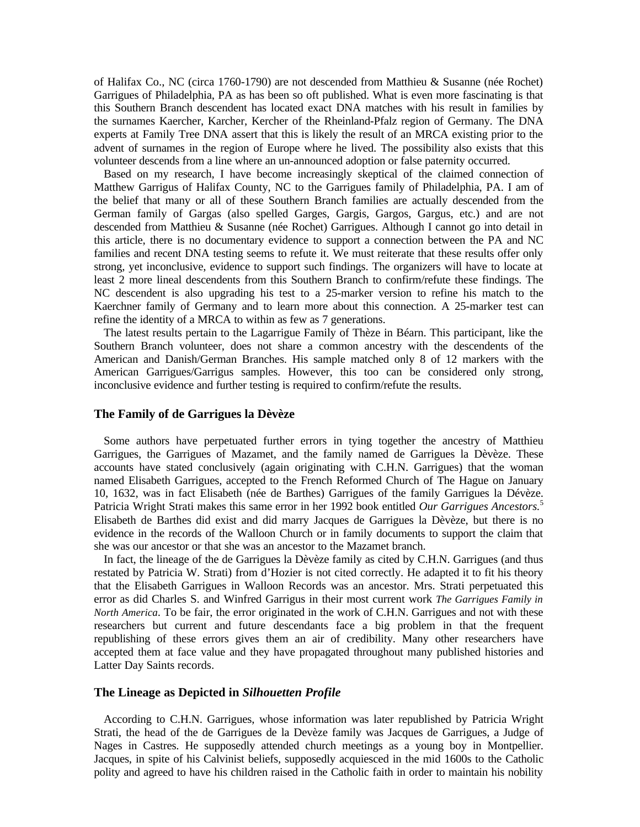of Halifax Co., NC (circa 1760-1790) are not descended from Matthieu & Susanne (née Rochet) Garrigues of Philadelphia, PA as has been so oft published. What is even more fascinating is that this Southern Branch descendent has located exact DNA matches with his result in families by the surnames Kaercher, Karcher, Kercher of the Rheinland-Pfalz region of Germany. The DNA experts at Family Tree DNA assert that this is likely the result of an MRCA existing prior to the advent of surnames in the region of Europe where he lived. The possibility also exists that this volunteer descends from a line where an un-announced adoption or false paternity occurred.

Based on my research, I have become increasingly skeptical of the claimed connection of Matthew Garrigus of Halifax County, NC to the Garrigues family of Philadelphia, PA. I am of the belief that many or all of these Southern Branch families are actually descended from the German family of Gargas (also spelled Garges, Gargis, Gargos, Gargus, etc.) and are not descended from Matthieu & Susanne (née Rochet) Garrigues. Although I cannot go into detail in this article, there is no documentary evidence to support a connection between the PA and NC families and recent DNA testing seems to refute it. We must reiterate that these results offer only strong, yet inconclusive, evidence to support such findings. The organizers will have to locate at least 2 more lineal descendents from this Southern Branch to confirm/refute these findings. The NC descendent is also upgrading his test to a 25-marker version to refine his match to the Kaerchner family of Germany and to learn more about this connection. A 25-marker test can refine the identity of a MRCA to within as few as 7 generations.

The latest results pertain to the Lagarrigue Family of Thèze in Béarn. This participant, like the Southern Branch volunteer, does not share a common ancestry with the descendents of the American and Danish/German Branches. His sample matched only 8 of 12 markers with the American Garrigues/Garrigus samples. However, this too can be considered only strong, inconclusive evidence and further testing is required to confirm/refute the results.

#### **The Family of de Garrigues la Dèvèze**

Some authors have perpetuated further errors in tying together the ancestry of Matthieu Garrigues, the Garrigues of Mazamet, and the family named de Garrigues la Dèvèze. These accounts have stated conclusively (again originating with C.H.N. Garrigues) that the woman named Elisabeth Garrigues, accepted to the French Reformed Church of The Hague on January 10, 1632, was in fact Elisabeth (née de Barthes) Garrigues of the family Garrigues la Dévèze. Patricia Wright Strati makes this same error in her 1992 book entitled *Our Garrigues Ancestors.*<sup>5</sup> Elisabeth de Barthes did exist and did marry Jacques de Garrigues la Dèvèze, but there is no evidence in the records of the Walloon Church or in family documents to support the claim that she was our ancestor or that she was an ancestor to the Mazamet branch.

In fact, the lineage of the de Garrigues la Dèvèze family as cited by C.H.N. Garrigues (and thus restated by Patricia W. Strati) from d'Hozier is not cited correctly. He adapted it to fit his theory that the Elisabeth Garrigues in Walloon Records was an ancestor. Mrs. Strati perpetuated this error as did Charles S. and Winfred Garrigus in their most current work *The Garrigues Family in North America*. To be fair, the error originated in the work of C.H.N. Garrigues and not with these researchers but current and future descendants face a big problem in that the frequent republishing of these errors gives them an air of credibility. Many other researchers have accepted them at face value and they have propagated throughout many published histories and Latter Day Saints records.

#### **The Lineage as Depicted in** *Silhouetten Profile*

According to C.H.N. Garrigues, whose information was later republished by Patricia Wright Strati, the head of the de Garrigues de la Devèze family was Jacques de Garrigues, a Judge of Nages in Castres. He supposedly attended church meetings as a young boy in Montpellier. Jacques, in spite of his Calvinist beliefs, supposedly acquiesced in the mid 1600s to the Catholic polity and agreed to have his children raised in the Catholic faith in order to maintain his nobility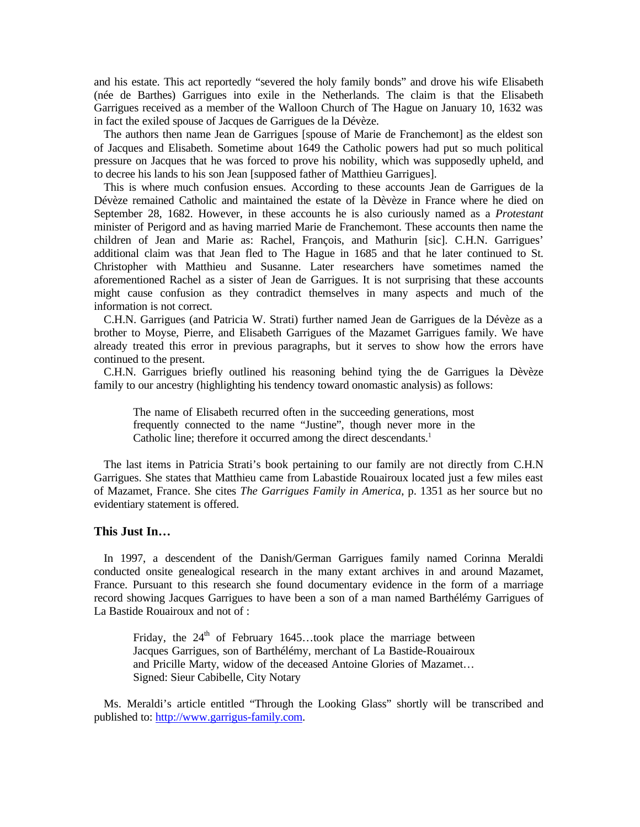and his estate. This act reportedly "severed the holy family bonds" and drove his wife Elisabeth (née de Barthes) Garrigues into exile in the Netherlands. The claim is that the Elisabeth Garrigues received as a member of the Walloon Church of The Hague on January 10, 1632 was in fact the exiled spouse of Jacques de Garrigues de la Dévèze.

The authors then name Jean de Garrigues [spouse of Marie de Franchemont] as the eldest son of Jacques and Elisabeth. Sometime about 1649 the Catholic powers had put so much political pressure on Jacques that he was forced to prove his nobility, which was supposedly upheld, and to decree his lands to his son Jean [supposed father of Matthieu Garrigues].

This is where much confusion ensues. According to these accounts Jean de Garrigues de la Dévèze remained Catholic and maintained the estate of la Dèvèze in France where he died on September 28, 1682. However, in these accounts he is also curiously named as a *Protestant* minister of Perigord and as having married Marie de Franchemont. These accounts then name the children of Jean and Marie as: Rachel, François, and Mathurin [sic]. C.H.N. Garrigues' additional claim was that Jean fled to The Hague in 1685 and that he later continued to St. Christopher with Matthieu and Susanne. Later researchers have sometimes named the aforementioned Rachel as a sister of Jean de Garrigues. It is not surprising that these accounts might cause confusion as they contradict themselves in many aspects and much of the information is not correct.

C.H.N. Garrigues (and Patricia W. Strati) further named Jean de Garrigues de la Dévèze as a brother to Moyse, Pierre, and Elisabeth Garrigues of the Mazamet Garrigues family. We have already treated this error in previous paragraphs, but it serves to show how the errors have continued to the present.

C.H.N. Garrigues briefly outlined his reasoning behind tying the de Garrigues la Dèvèze family to our ancestry (highlighting his tendency toward onomastic analysis) as follows:

The name of Elisabeth recurred often in the succeeding generations, most frequently connected to the name "Justine", though never more in the Catholic line; therefore it occurred among the direct descendants.<sup>1</sup>

The last items in Patricia Strati's book pertaining to our family are not directly from C.H.N Garrigues. She states that Matthieu came from Labastide Rouairoux located just a few miles east of Mazamet, France. She cites *The Garrigues Family in America*, p. 1351 as her source but no evidentiary statement is offered.

#### **This Just In…**

In 1997, a descendent of the Danish/German Garrigues family named Corinna Meraldi conducted onsite genealogical research in the many extant archives in and around Mazamet, France. Pursuant to this research she found documentary evidence in the form of a marriage record showing Jacques Garrigues to have been a son of a man named Barthélémy Garrigues of La Bastide Rouairoux and not of :

Friday, the  $24<sup>th</sup>$  of February 1645...took place the marriage between Jacques Garrigues, son of Barthélémy, merchant of La Bastide-Rouairoux and Pricille Marty, widow of the deceased Antoine Glories of Mazamet… Signed: Sieur Cabibelle, City Notary

Ms. Meraldi's article entitled "Through the Looking Glass" shortly will be transcribed and published to: http://www.garrigus-family.com.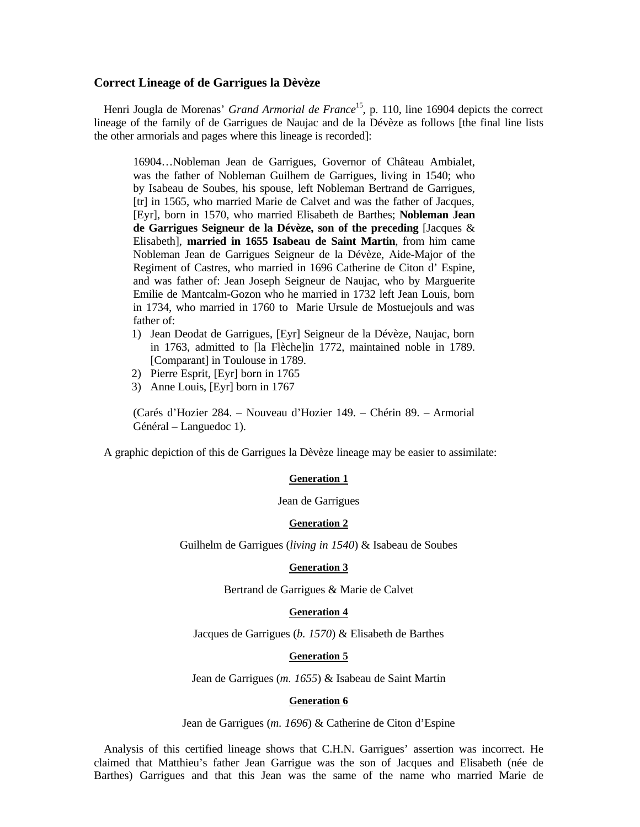#### **Correct Lineage of de Garrigues la Dèvèze**

Henri Jougla de Morenas' *Grand Armorial de France*<sup>15</sup>, p. 110, line 16904 depicts the correct lineage of the family of de Garrigues de Naujac and de la Dévèze as follows [the final line lists the other armorials and pages where this lineage is recorded]:

16904…Nobleman Jean de Garrigues, Governor of Château Ambialet, was the father of Nobleman Guilhem de Garrigues, living in 1540; who by Isabeau de Soubes, his spouse, left Nobleman Bertrand de Garrigues, [tr] in 1565, who married Marie de Calvet and was the father of Jacques, [Eyr], born in 1570, who married Elisabeth de Barthes; **Nobleman Jean de Garrigues Seigneur de la Dévèze, son of the preceding** [Jacques & Elisabeth], **married in 1655 Isabeau de Saint Martin**, from him came Nobleman Jean de Garrigues Seigneur de la Dévèze, Aide-Major of the Regiment of Castres, who married in 1696 Catherine de Citon d' Espine, and was father of: Jean Joseph Seigneur de Naujac, who by Marguerite Emilie de Mantcalm-Gozon who he married in 1732 left Jean Louis, born in 1734, who married in 1760 to Marie Ursule de Mostuejouls and was father of:

- 1) Jean Deodat de Garrigues, [Eyr] Seigneur de la Dévèze, Naujac, born in 1763, admitted to [la Flèche]in 1772, maintained noble in 1789. [Comparant] in Toulouse in 1789.
- 2) Pierre Esprit, [Eyr] born in 1765
- 3) Anne Louis, [Eyr] born in 1767

(Carés d'Hozier 284. – Nouveau d'Hozier 149. – Chérin 89. – Armorial Général – Languedoc 1).

A graphic depiction of this de Garrigues la Dèvèze lineage may be easier to assimilate:

#### **Generation 1**

Jean de Garrigues

#### **Generation 2**

Guilhelm de Garrigues (*living in 1540*) & Isabeau de Soubes

#### **Generation 3**

Bertrand de Garrigues & Marie de Calvet

#### **Generation 4**

Jacques de Garrigues (*b. 1570*) & Elisabeth de Barthes

#### **Generation 5**

Jean de Garrigues (*m. 1655*) & Isabeau de Saint Martin

#### **Generation 6**

Jean de Garrigues (*m. 1696*) & Catherine de Citon d'Espine

Analysis of this certified lineage shows that C.H.N. Garrigues' assertion was incorrect. He claimed that Matthieu's father Jean Garrigue was the son of Jacques and Elisabeth (née de Barthes) Garrigues and that this Jean was the same of the name who married Marie de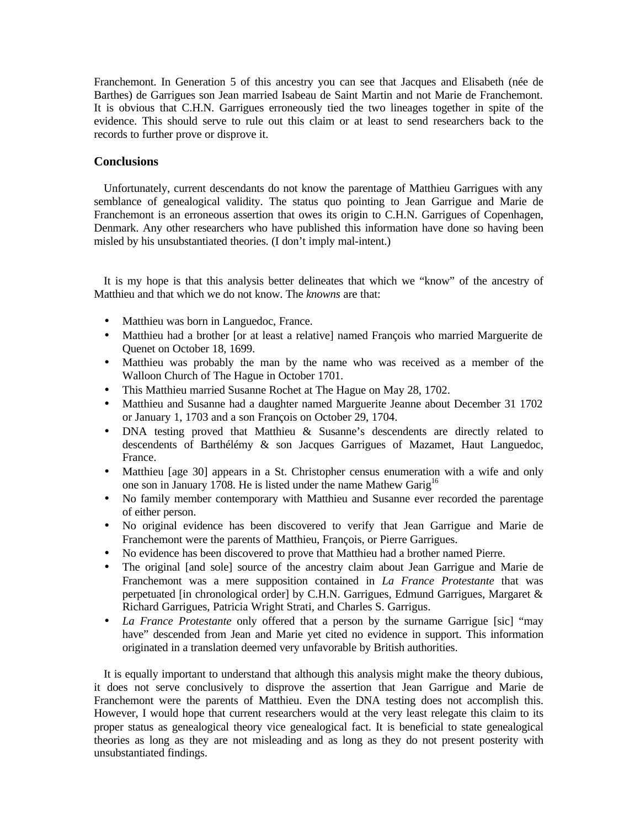Franchemont. In Generation 5 of this ancestry you can see that Jacques and Elisabeth (née de Barthes) de Garrigues son Jean married Isabeau de Saint Martin and not Marie de Franchemont. It is obvious that C.H.N. Garrigues erroneously tied the two lineages together in spite of the evidence. This should serve to rule out this claim or at least to send researchers back to the records to further prove or disprove it.

### **Conclusions**

Unfortunately, current descendants do not know the parentage of Matthieu Garrigues with any semblance of genealogical validity. The status quo pointing to Jean Garrigue and Marie de Franchemont is an erroneous assertion that owes its origin to C.H.N. Garrigues of Copenhagen, Denmark. Any other researchers who have published this information have done so having been misled by his unsubstantiated theories. (I don't imply mal-intent.)

It is my hope is that this analysis better delineates that which we "know" of the ancestry of Matthieu and that which we do not know. The *knowns* are that:

- Matthieu was born in Languedoc, France.
- Matthieu had a brother [or at least a relative] named François who married Marguerite de Quenet on October 18, 1699.
- Matthieu was probably the man by the name who was received as a member of the Walloon Church of The Hague in October 1701.
- This Matthieu married Susanne Rochet at The Hague on May 28, 1702.
- Matthieu and Susanne had a daughter named Marguerite Jeanne about December 31 1702 or January 1, 1703 and a son François on October 29, 1704.
- DNA testing proved that Matthieu & Susanne's descendents are directly related to descendents of Barthélémy & son Jacques Garrigues of Mazamet, Haut Languedoc, France.
- Matthieu [age 30] appears in a St. Christopher census enumeration with a wife and only one son in January 1708. He is listed under the name Mathew Garig<sup>16</sup>
- No family member contemporary with Matthieu and Susanne ever recorded the parentage of either person.
- No original evidence has been discovered to verify that Jean Garrigue and Marie de Franchemont were the parents of Matthieu, François, or Pierre Garrigues.
- No evidence has been discovered to prove that Matthieu had a brother named Pierre.
- The original [and sole] source of the ancestry claim about Jean Garrigue and Marie de Franchemont was a mere supposition contained in *La France Protestante* that was perpetuated [in chronological order] by C.H.N. Garrigues, Edmund Garrigues, Margaret & Richard Garrigues, Patricia Wright Strati, and Charles S. Garrigus.
- *La France Protestante* only offered that a person by the surname Garrigue [sic] "may have" descended from Jean and Marie yet cited no evidence in support. This information originated in a translation deemed very unfavorable by British authorities.

It is equally important to understand that although this analysis might make the theory dubious, it does not serve conclusively to disprove the assertion that Jean Garrigue and Marie de Franchemont were the parents of Matthieu. Even the DNA testing does not accomplish this. However, I would hope that current researchers would at the very least relegate this claim to its proper status as genealogical theory vice genealogical fact. It is beneficial to state genealogical theories as long as they are not misleading and as long as they do not present posterity with unsubstantiated findings.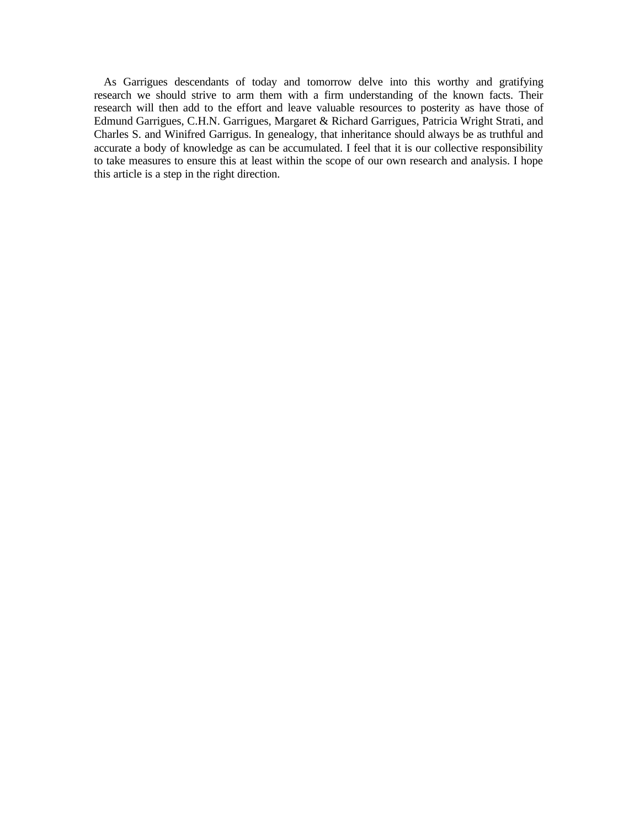As Garrigues descendants of today and tomorrow delve into this worthy and gratifying research we should strive to arm them with a firm understanding of the known facts. Their research will then add to the effort and leave valuable resources to posterity as have those of Edmund Garrigues, C.H.N. Garrigues, Margaret & Richard Garrigues, Patricia Wright Strati, and Charles S. and Winifred Garrigus. In genealogy, that inheritance should always be as truthful and accurate a body of knowledge as can be accumulated. I feel that it is our collective responsibility to take measures to ensure this at least within the scope of our own research and analysis. I hope this article is a step in the right direction.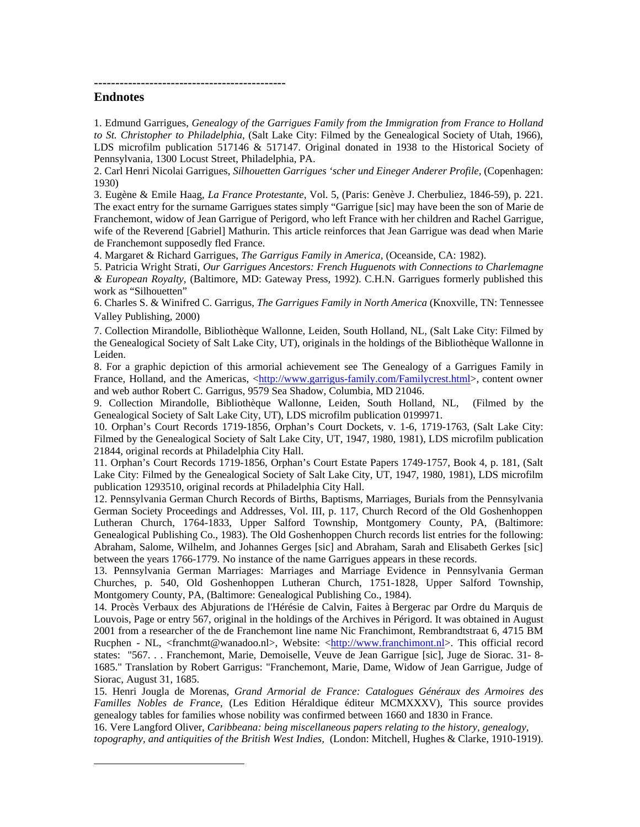**---------------------------------------------**

## **Endnotes**

<u>.</u>

1. Edmund Garrigues, *Genealogy of the Garrigues Family from the Immigration from France to Holland to St. Christopher to Philadelphia*, (Salt Lake City: Filmed by the Genealogical Society of Utah, 1966), LDS microfilm publication 517146 & 517147. Original donated in 1938 to the Historical Society of Pennsylvania, 1300 Locust Street, Philadelphia, PA.

2. Carl Henri Nicolai Garrigues, *Silhouetten Garrigues 'scher und Eineger Anderer Profile,* (Copenhagen: 1930)

3. Eugène & Emile Haag, *La France Protestante*, Vol. 5, (Paris: Genève J. Cherbuliez, 1846-59), p. 221. The exact entry for the surname Garrigues states simply "Garrigue [sic] may have been the son of Marie de Franchemont, widow of Jean Garrigue of Perigord, who left France with her children and Rachel Garrigue, wife of the Reverend [Gabriel] Mathurin. This article reinforces that Jean Garrigue was dead when Marie de Franchemont supposedly fled France.

4. Margaret & Richard Garrigues, *The Garrigus Family in America,* (Oceanside, CA: 1982).

5. Patricia Wright Strati, *Our Garrigues Ancestors: French Huguenots with Connections to Charlemagne & European Royalty,* (Baltimore, MD: Gateway Press, 1992). C.H.N. Garrigues formerly published this work as "Silhouetten"

6. Charles S. & Winifred C. Garrigus, *The Garrigues Family in North America* (Knoxville, TN: Tennessee Valley Publishing, 2000)

7. Collection Mirandolle, Bibliothèque Wallonne, Leiden, South Holland, NL, (Salt Lake City: Filmed by the Genealogical Society of Salt Lake City, UT), originals in the holdings of the Bibliothèque Wallonne in Leiden.

8. For a graphic depiction of this armorial achievement see The Genealogy of a Garrigues Family in France, Holland, and the Americas, <http://www.garrigus-family.com/Familycrest.html>, content owner and web author Robert C. Garrigus, 9579 Sea Shadow, Columbia, MD 21046.

9. Collection Mirandolle, Bibliothèque Wallonne, Leiden, South Holland, NL, (Filmed by the Genealogical Society of Salt Lake City, UT), LDS microfilm publication 0199971.

10. Orphan's Court Records 1719-1856, Orphan's Court Dockets, v. 1-6, 1719-1763, (Salt Lake City: Filmed by the Genealogical Society of Salt Lake City, UT, 1947, 1980, 1981), LDS microfilm publication 21844, original records at Philadelphia City Hall.

11. Orphan's Court Records 1719-1856, Orphan's Court Estate Papers 1749-1757, Book 4, p. 181, (Salt Lake City: Filmed by the Genealogical Society of Salt Lake City, UT, 1947, 1980, 1981), LDS microfilm publication 1293510, original records at Philadelphia City Hall.

12. Pennsylvania German Church Records of Births, Baptisms, Marriages, Burials from the Pennsylvania German Society Proceedings and Addresses, Vol. III, p. 117, Church Record of the Old Goshenhoppen Lutheran Church, 1764-1833, Upper Salford Township, Montgomery County, PA, (Baltimore: Genealogical Publishing Co., 1983). The Old Goshenhoppen Church records list entries for the following: Abraham, Salome, Wilhelm, and Johannes Gerges [sic] and Abraham, Sarah and Elisabeth Gerkes [sic] between the years 1766-1779. No instance of the name Garrigues appears in these records.

13. Pennsylvania German Marriages: Marriages and Marriage Evidence in Pennsylvania German Churches, p. 540, Old Goshenhoppen Lutheran Church, 1751-1828, Upper Salford Township, Montgomery County, PA, (Baltimore: Genealogical Publishing Co., 1984).

14. Procès Verbaux des Abjurations de l'Hérésie de Calvin, Faites à Bergerac par Ordre du Marquis de Louvois, Page or entry 567, original in the holdings of the Archives in Périgord. It was obtained in August 2001 from a researcher of the de Franchemont line name Nic Franchimont, Rembrandtstraat 6, 4715 BM Rucphen - NL, <franchmt@wanadoo.nl>, Website: <http://www.franchimont.nl>. This official record states: "567. . . Franchemont, Marie, Demoiselle, Veuve de Jean Garrigue [sic], Juge de Siorac. 31- 8- 1685." Translation by Robert Garrigus: "Franchemont, Marie, Dame, Widow of Jean Garrigue, Judge of Siorac, August 31, 1685.

15. Henri Jougla de Morenas, *Grand Armorial de France: Catalogues Généraux des Armoires des Familles Nobles de France*, (Les Edition Héraldique éditeur MCMXXXV), This source provides genealogy tables for families whose nobility was confirmed between 1660 and 1830 in France.

16. Vere Langford Oliver, *Caribbeana: being miscellaneous papers relating to the history, genealogy, topography, and antiquities of the British West Indies,* (London: Mitchell, Hughes & Clarke, 1910-1919).